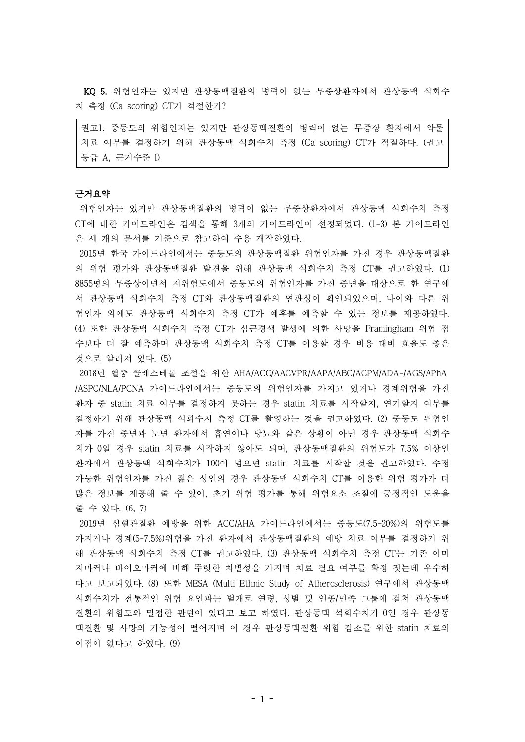KQ 5. 위험인자는 있지만 관상동맥질환의 병력이 없는 무증상환자에서 관상동맥 석회수 치 측정 (Ca scoring) CT가 적절한가?

권고1. 중등도의 위험인자는 있지만 관상동맥질환의 병력이 없는 무증상 환자에서 약물 치료 여부를 결정하기 위해 관상동맥 석회수치 측정 (Ca scoring) CT가 적절하다. (권고 등급 A, 근거수준 I)

# 근거요약

위험인자는 있지만 관상동맥질환의 병력이 없는 무증상환자에서 관상동맥 석회수치 측정 CT에 대한 가이드라인은 검색을 통해 3개의 가이드라인이 선정되었다. (1-3) 본 가이드라인 은 세 개의 문서를 기준으로 참고하여 수용 개작하였다.

2015년 한국 가이드라인에서는 중등도의 관상동맥질환 위험인자를 가진 경우 관상동맥질환 의 위험 평가와 관상동맥질환 발견을 위해 관상동맥 석회수치 측정 CT를 권고하였다. (1) 8855명의 무증상이면서 저위험도에서 중등도의 위험인자를 가진 중년을 대상으로 한 연구에 서 관상동맥 석회수치 측정 CT와 관상동맥질환의 연관성이 확인되었으며, 나이와 다른 위 험인자 외에도 관상동맥 석회수치 측정 CT가 예후를 예측할 수 있는 정보를 제공하였다. (4) 또한 관상동맥 석회수치 측정 CT가 심근경색 발생에 의한 사망을 Framingham 위험 점 수보다 더 잘 예측하며 관상동맥 석회수치 측정 CT를 이용할 경우 비용 대비 효율도 좋은 것으로 알려져 있다. (5)

2018년 혈중 콜레스테롤 조절을 위한 AHA/ACC/AACVPR/AAPA/ABC/ACPM/ADA-/AGS/APhA /ASPC/NLA/PCNA 가이드라인에서는 중등도의 위험인자를 가지고 있거나 경계위험을 가진 환자 중 statin 치료 여부를 결정하지 못하는 경우 statin 치료를 시작할지, 연기할지 여부를 결정하기 위해 관상동맥 석회수치 측정 CT를 촬영하는 것을 권고하였다. (2) 중등도 위험인 자를 가진 중년과 노년 환자에서 흡연이나 당뇨와 같은 상황이 아닌 경우 관상동맥 석회수 치가 0일 경우 statin 치료를 시작하지 않아도 되며, 관상동맥질환의 위험도가 7.5% 이상인 환자에서 관상동맥 석회수치가 100이 넘으면 statin 치료를 시작할 것을 권고하였다. 수정 가능한 위험인자를 가진 젊은 성인의 경우 관상동맥 석회수치 CT를 이용한 위험 평가가 더 많은 정보를 제공해 줄 수 있어, 초기 위험 평가를 통해 위험요소 조절에 긍정적인 도움을 줄 수 있다. (6, 7)

2019년 심혈관질환 예방을 위한 ACC/AHA 가이드라인에서는 중등도(7.5-20%)의 위험도를 가지거나 경계(5-7.5%)위험을 가진 환자에서 관상동맥질환의 예방 치료 여부를 결정하기 위 해 관상동맥 석회수치 측정 CT를 권고하였다. (3) 관상동맥 석회수치 측정 CT는 기존 이미 지마커나 바이오마커에 비해 뚜렷한 차별성을 가지며 치료 필요 여부를 확정 짓는데 우수하 다고 보고되었다. (8) 또한 MESA (Multi Ethnic Study of Atherosclerosis) 연구에서 관상동맥 석회수치가 전통적인 위험 요인과는 별개로 연령, 성별 및 인종/민족 그룹에 걸쳐 관상동맥 질환의 위험도와 밀접한 관련이 있다고 보고 하였다. 관상동맥 석회수치가 0인 경우 관상동 맥질환 및 사망의 가능성이 떨어지며 이 경우 관상동맥질환 위험 감소를 위한 statin 치료의 이점이 없다고 하였다. (9)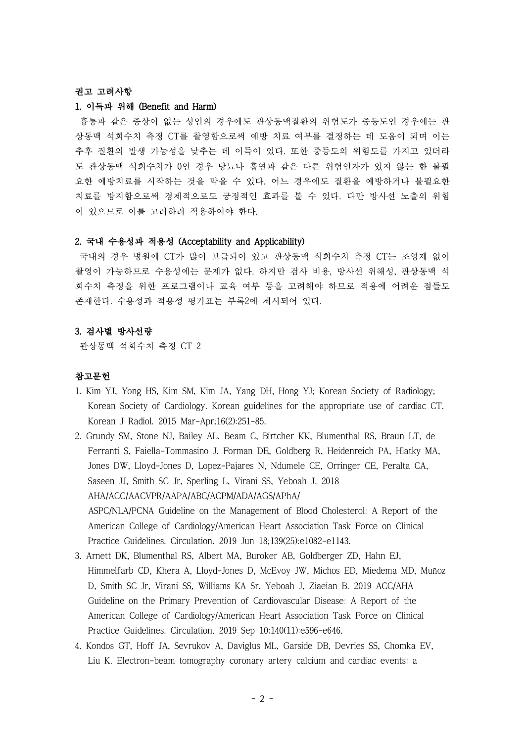## 권고 고려사항

#### 1. 이득과 위해 (Benefit and Harm)

흉통과 같은 증상이 없는 성인의 경우에도 관상동맥질환의 위험도가 중등도인 경우에는 관 상동맥 석회수치 측정 CT를 촬영함으로써 예방 치료 여부를 결정하는 데 도움이 되며 이는 추후 질환의 발생 가능성을 낮추는 데 이득이 있다. 또한 중등도의 위험도를 가지고 있더라 도 관상동맥 석회수치가 0인 경우 당뇨나 흡연과 같은 다른 위험인자가 있지 않는 한 불필 요한 예방치료를 시작하는 것을 막을 수 있다. 어느 경우에도 질환을 예방하거나 불필요한 치료를 방지함으로써 경제적으로도 긍정적인 효과를 볼 수 있다. 다만 방사선 노출의 위험 이 있으므로 이를 고려하려 적용하여야 한다.

#### 2. 국내 수용성과 적용성 (Acceptability and Applicability)

국내의 경우 병원에 CT가 많이 보급되어 있고 관상동맥 석회수치 측정 CT는 조영제 없이 촬영이 가능하므로 수용성에는 문제가 없다. 하지만 검사 비용, 방사선 위해성, 관상동맥 석 회수치 측정을 위한 프로그램이나 교육 여부 등을 고려해야 하므로 적용에 어려운 점들도 존재한다. 수용성과 적용성 평가표는 부록2에 제시되어 있다.

## 3. 검사별 방사선량

관상동맥 석회수치 측정 CT 2

## 참고문헌

- 1. Kim YJ, Yong HS, Kim SM, Kim JA, Yang DH, Hong YJ; Korean Society of Radiology; Korean Society of Cardiology. Korean guidelines for the appropriate use of cardiac CT. Korean J Radiol. 2015 Mar-Apr;16(2):251-85.
- 2. Grundy SM, Stone NJ, Bailey AL, Beam C, Birtcher KK, Blumenthal RS, Braun LT, de Ferranti S, Faiella-Tommasino J, Forman DE, Goldberg R, Heidenreich PA, Hlatky MA, Jones DW, Lloyd-Jones D, Lopez-Pajares N, Ndumele CE, Orringer CE, Peralta CA, Saseen JJ, Smith SC Jr, Sperling L, Virani SS, Yeboah J. 2018 AHA/ACC/AACVPR/AAPA/ABC/ACPM/ADA/AGS/APhA/ ASPC/NLA/PCNA Guideline on the Management of Blood Cholesterol: A Report of the American College of Cardiology/American Heart Association Task Force on Clinical Practice Guidelines. Circulation. 2019 Jun 18;139(25):e1082-e1143.
- 3. Arnett DK, Blumenthal RS, Albert MA, Buroker AB, Goldberger ZD, Hahn EJ, Himmelfarb CD, Khera A, Lloyd-Jones D, McEvoy JW, Michos ED, Miedema MD, Muñoz D, Smith SC Jr, Virani SS, Williams KA Sr, Yeboah J, Ziaeian B. 2019 ACC/AHA Guideline on the Primary Prevention of Cardiovascular Disease: A Report of the American College of Cardiology/American Heart Association Task Force on Clinical Practice Guidelines. Circulation. 2019 Sep 10;140(11):e596-e646.
- 4. Kondos GT, Hoff JA, Sevrukov A, Daviglus ML, Garside DB, Devries SS, Chomka EV, Liu K. Electron-beam tomography coronary artery calcium and cardiac events: a